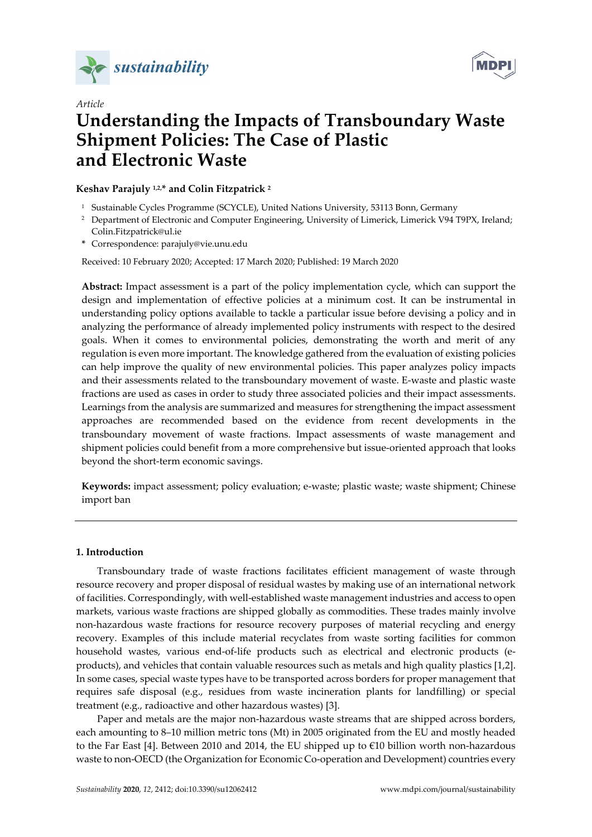



# *Article*  **Understanding the Impacts of Transboundary Waste Shipment Policies: The Case of Plastic and Electronic Waste**

**Keshav Parajuly 1,2,\* and Colin Fitzpatrick 2**

- <sup>1</sup> Sustainable Cycles Programme (SCYCLE), United Nations University, 53113 Bonn, Germany
- <sup>2</sup> Department of Electronic and Computer Engineering, University of Limerick, Limerick V94 T9PX, Ireland; Colin.Fitzpatrick@ul.ie
- **\*** Correspondence: parajuly@vie.unu.edu

Received: 10 February 2020; Accepted: 17 March 2020; Published: 19 March 2020

**Abstract:** Impact assessment is a part of the policy implementation cycle, which can support the design and implementation of effective policies at a minimum cost. It can be instrumental in understanding policy options available to tackle a particular issue before devising a policy and in analyzing the performance of already implemented policy instruments with respect to the desired goals. When it comes to environmental policies, demonstrating the worth and merit of any regulation is even more important. The knowledge gathered from the evaluation of existing policies can help improve the quality of new environmental policies. This paper analyzes policy impacts and their assessments related to the transboundary movement of waste. E-waste and plastic waste fractions are used as cases in order to study three associated policies and their impact assessments. Learnings from the analysis are summarized and measures for strengthening the impact assessment approaches are recommended based on the evidence from recent developments in the transboundary movement of waste fractions. Impact assessments of waste management and shipment policies could benefit from a more comprehensive but issue-oriented approach that looks beyond the short-term economic savings.

**Keywords:** impact assessment; policy evaluation; e-waste; plastic waste; waste shipment; Chinese import ban

### **1. Introduction**

Transboundary trade of waste fractions facilitates efficient management of waste through resource recovery and proper disposal of residual wastes by making use of an international network of facilities. Correspondingly, with well-established waste management industries and access to open markets, various waste fractions are shipped globally as commodities. These trades mainly involve non-hazardous waste fractions for resource recovery purposes of material recycling and energy recovery. Examples of this include material recyclates from waste sorting facilities for common household wastes, various end-of-life products such as electrical and electronic products (eproducts), and vehicles that contain valuable resources such as metals and high quality plastics [1,2]. In some cases, special waste types have to be transported across borders for proper management that requires safe disposal (e.g., residues from waste incineration plants for landfilling) or special treatment (e.g., radioactive and other hazardous wastes) [3].

Paper and metals are the major non-hazardous waste streams that are shipped across borders, each amounting to 8–10 million metric tons (Mt) in 2005 originated from the EU and mostly headed to the Far East [4]. Between 2010 and 2014, the EU shipped up to  $\epsilon$ 10 billion worth non-hazardous waste to non-OECD (the Organization for Economic Co-operation and Development) countries every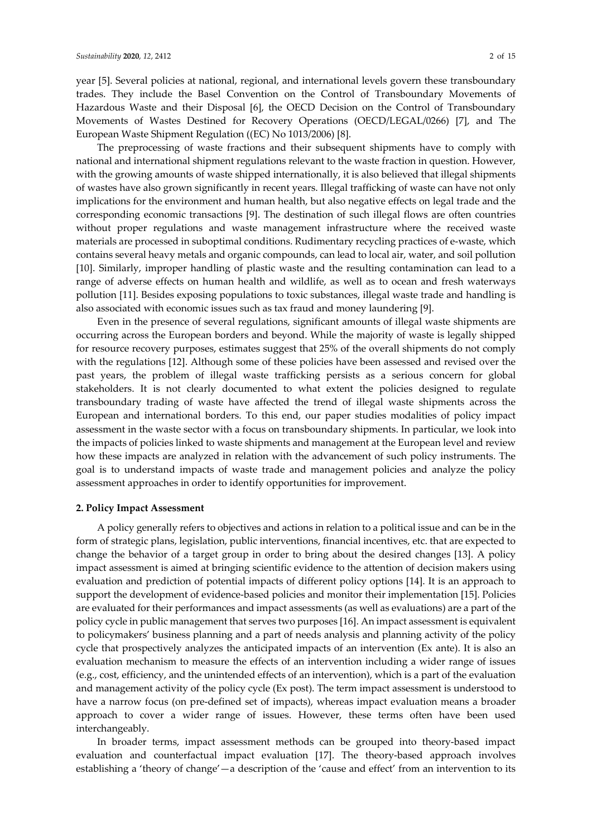year [5]. Several policies at national, regional, and international levels govern these transboundary trades. They include the Basel Convention on the Control of Transboundary Movements of Hazardous Waste and their Disposal [6], the OECD Decision on the Control of Transboundary Movements of Wastes Destined for Recovery Operations (OECD/LEGAL/0266) [7], and The

European Waste Shipment Regulation ((EC) No 1013/2006) [8]. The preprocessing of waste fractions and their subsequent shipments have to comply with national and international shipment regulations relevant to the waste fraction in question. However, with the growing amounts of waste shipped internationally, it is also believed that illegal shipments of wastes have also grown significantly in recent years. Illegal trafficking of waste can have not only implications for the environment and human health, but also negative effects on legal trade and the corresponding economic transactions [9]. The destination of such illegal flows are often countries without proper regulations and waste management infrastructure where the received waste materials are processed in suboptimal conditions. Rudimentary recycling practices of e-waste, which contains several heavy metals and organic compounds, can lead to local air, water, and soil pollution [10]. Similarly, improper handling of plastic waste and the resulting contamination can lead to a range of adverse effects on human health and wildlife, as well as to ocean and fresh waterways pollution [11]. Besides exposing populations to toxic substances, illegal waste trade and handling is also associated with economic issues such as tax fraud and money laundering [9].

Even in the presence of several regulations, significant amounts of illegal waste shipments are occurring across the European borders and beyond. While the majority of waste is legally shipped for resource recovery purposes, estimates suggest that 25% of the overall shipments do not comply with the regulations [12]. Although some of these policies have been assessed and revised over the past years, the problem of illegal waste trafficking persists as a serious concern for global stakeholders. It is not clearly documented to what extent the policies designed to regulate transboundary trading of waste have affected the trend of illegal waste shipments across the European and international borders. To this end, our paper studies modalities of policy impact assessment in the waste sector with a focus on transboundary shipments. In particular, we look into the impacts of policies linked to waste shipments and management at the European level and review how these impacts are analyzed in relation with the advancement of such policy instruments. The goal is to understand impacts of waste trade and management policies and analyze the policy assessment approaches in order to identify opportunities for improvement.

#### **2. Policy Impact Assessment**

A policy generally refers to objectives and actions in relation to a political issue and can be in the form of strategic plans, legislation, public interventions, financial incentives, etc. that are expected to change the behavior of a target group in order to bring about the desired changes [13]. A policy impact assessment is aimed at bringing scientific evidence to the attention of decision makers using evaluation and prediction of potential impacts of different policy options [14]. It is an approach to support the development of evidence-based policies and monitor their implementation [15]. Policies are evaluated for their performances and impact assessments (as well as evaluations) are a part of the policy cycle in public management that serves two purposes [16]. An impact assessment is equivalent to policymakers' business planning and a part of needs analysis and planning activity of the policy cycle that prospectively analyzes the anticipated impacts of an intervention (Ex ante). It is also an evaluation mechanism to measure the effects of an intervention including a wider range of issues (e.g., cost, efficiency, and the unintended effects of an intervention), which is a part of the evaluation and management activity of the policy cycle (Ex post). The term impact assessment is understood to have a narrow focus (on pre-defined set of impacts), whereas impact evaluation means a broader approach to cover a wider range of issues. However, these terms often have been used interchangeably.

In broader terms, impact assessment methods can be grouped into theory-based impact evaluation and counterfactual impact evaluation [17]. The theory-based approach involves establishing a 'theory of change'—a description of the 'cause and effect' from an intervention to its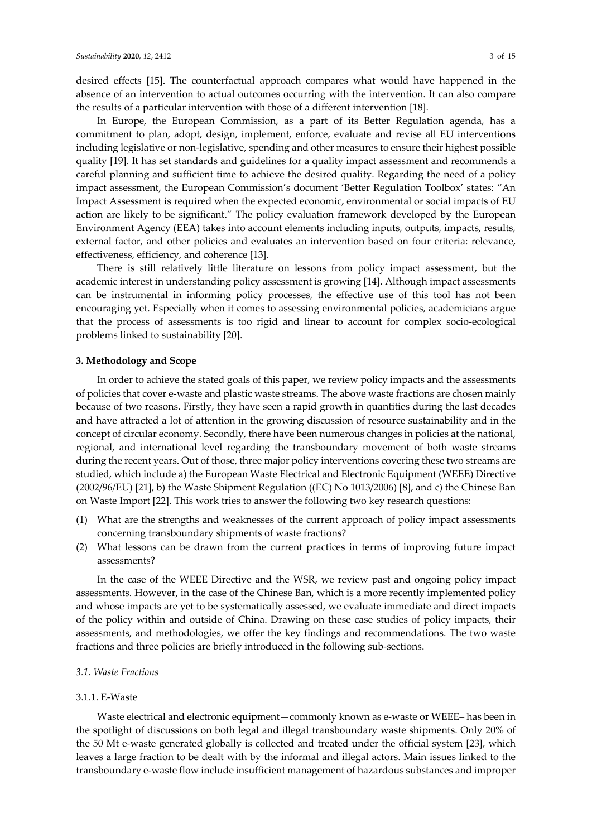desired effects [15]. The counterfactual approach compares what would have happened in the absence of an intervention to actual outcomes occurring with the intervention. It can also compare the results of a particular intervention with those of a different intervention [18].

In Europe, the European Commission, as a part of its Better Regulation agenda, has a commitment to plan, adopt, design, implement, enforce, evaluate and revise all EU interventions including legislative or non-legislative, spending and other measures to ensure their highest possible quality [19]. It has set standards and guidelines for a quality impact assessment and recommends a careful planning and sufficient time to achieve the desired quality. Regarding the need of a policy impact assessment, the European Commission's document 'Better Regulation Toolbox' states: "An Impact Assessment is required when the expected economic, environmental or social impacts of EU action are likely to be significant." The policy evaluation framework developed by the European Environment Agency (EEA) takes into account elements including inputs, outputs, impacts, results, external factor, and other policies and evaluates an intervention based on four criteria: relevance, effectiveness, efficiency, and coherence [13].

There is still relatively little literature on lessons from policy impact assessment, but the academic interest in understanding policy assessment is growing [14]. Although impact assessments can be instrumental in informing policy processes, the effective use of this tool has not been encouraging yet. Especially when it comes to assessing environmental policies, academicians argue that the process of assessments is too rigid and linear to account for complex socio-ecological problems linked to sustainability [20].

#### **3. Methodology and Scope**

In order to achieve the stated goals of this paper, we review policy impacts and the assessments of policies that cover e-waste and plastic waste streams. The above waste fractions are chosen mainly because of two reasons. Firstly, they have seen a rapid growth in quantities during the last decades and have attracted a lot of attention in the growing discussion of resource sustainability and in the concept of circular economy. Secondly, there have been numerous changes in policies at the national, regional, and international level regarding the transboundary movement of both waste streams during the recent years. Out of those, three major policy interventions covering these two streams are studied, which include a) the European Waste Electrical and Electronic Equipment (WEEE) Directive (2002/96/EU) [21], b) the Waste Shipment Regulation ((EC) No 1013/2006) [8], and c) the Chinese Ban on Waste Import [22]. This work tries to answer the following two key research questions:

- (1) What are the strengths and weaknesses of the current approach of policy impact assessments concerning transboundary shipments of waste fractions?
- (2) What lessons can be drawn from the current practices in terms of improving future impact assessments?

In the case of the WEEE Directive and the WSR, we review past and ongoing policy impact assessments. However, in the case of the Chinese Ban, which is a more recently implemented policy and whose impacts are yet to be systematically assessed, we evaluate immediate and direct impacts of the policy within and outside of China. Drawing on these case studies of policy impacts, their assessments, and methodologies, we offer the key findings and recommendations. The two waste fractions and three policies are briefly introduced in the following sub-sections.

### *3.1. Waste Fractions*

#### 3.1.1. E-Waste

Waste electrical and electronic equipment—commonly known as e-waste or WEEE– has been in the spotlight of discussions on both legal and illegal transboundary waste shipments. Only 20% of the 50 Mt e-waste generated globally is collected and treated under the official system [23], which leaves a large fraction to be dealt with by the informal and illegal actors. Main issues linked to the transboundary e-waste flow include insufficient management of hazardous substances and improper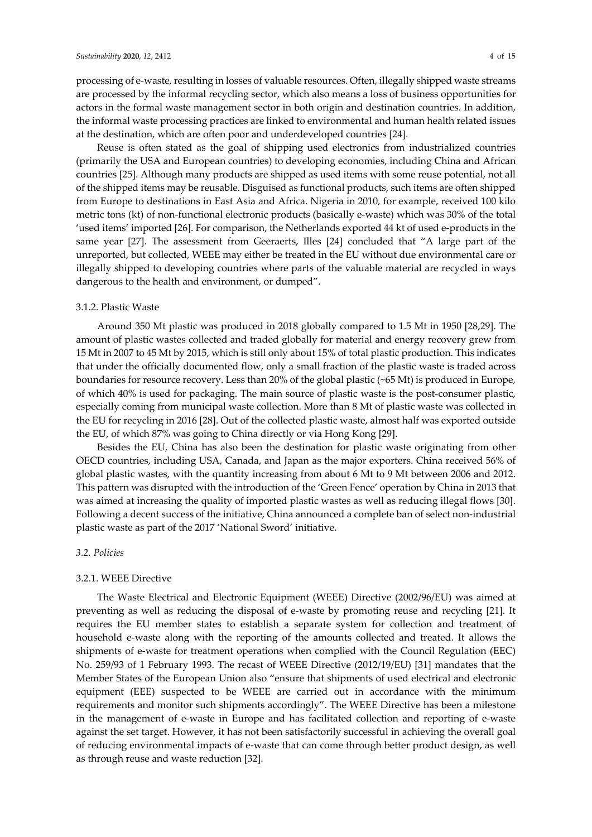processing of e-waste, resulting in losses of valuable resources. Often, illegally shipped waste streams are processed by the informal recycling sector, which also means a loss of business opportunities for actors in the formal waste management sector in both origin and destination countries. In addition, the informal waste processing practices are linked to environmental and human health related issues at the destination, which are often poor and underdeveloped countries [24].

Reuse is often stated as the goal of shipping used electronics from industrialized countries (primarily the USA and European countries) to developing economies, including China and African countries [25]. Although many products are shipped as used items with some reuse potential, not all of the shipped items may be reusable. Disguised as functional products, such items are often shipped from Europe to destinations in East Asia and Africa. Nigeria in 2010, for example, received 100 kilo metric tons (kt) of non-functional electronic products (basically e-waste) which was 30% of the total 'used items' imported [26]. For comparison, the Netherlands exported 44 kt of used e-products in the same year [27]. The assessment from Geeraerts, Illes [24] concluded that "A large part of the unreported, but collected, WEEE may either be treated in the EU without due environmental care or illegally shipped to developing countries where parts of the valuable material are recycled in ways dangerous to the health and environment, or dumped".

#### 3.1.2. Plastic Waste

Around 350 Mt plastic was produced in 2018 globally compared to 1.5 Mt in 1950 [28,29]. The amount of plastic wastes collected and traded globally for material and energy recovery grew from 15 Mt in 2007 to 45 Mt by 2015, which is still only about 15% of total plastic production. This indicates that under the officially documented flow, only a small fraction of the plastic waste is traded across boundaries for resource recovery. Less than 20% of the global plastic (~65 Mt) is produced in Europe, of which 40% is used for packaging. The main source of plastic waste is the post-consumer plastic, especially coming from municipal waste collection. More than 8 Mt of plastic waste was collected in the EU for recycling in 2016 [28]. Out of the collected plastic waste, almost half was exported outside the EU, of which 87% was going to China directly or via Hong Kong [29].

Besides the EU, China has also been the destination for plastic waste originating from other OECD countries, including USA, Canada, and Japan as the major exporters. China received 56% of global plastic wastes, with the quantity increasing from about 6 Mt to 9 Mt between 2006 and 2012. This pattern was disrupted with the introduction of the 'Green Fence' operation by China in 2013 that was aimed at increasing the quality of imported plastic wastes as well as reducing illegal flows [30]. Following a decent success of the initiative, China announced a complete ban of select non-industrial plastic waste as part of the 2017 'National Sword' initiative.

#### *3.2. Policies*

#### 3.2.1. WEEE Directive

The Waste Electrical and Electronic Equipment (WEEE) Directive (2002/96/EU) was aimed at preventing as well as reducing the disposal of e-waste by promoting reuse and recycling [21]. It requires the EU member states to establish a separate system for collection and treatment of household e-waste along with the reporting of the amounts collected and treated. It allows the shipments of e-waste for treatment operations when complied with the Council Regulation (EEC) No. 259/93 of 1 February 1993. The recast of WEEE Directive (2012/19/EU) [31] mandates that the Member States of the European Union also "ensure that shipments of used electrical and electronic equipment (EEE) suspected to be WEEE are carried out in accordance with the minimum requirements and monitor such shipments accordingly". The WEEE Directive has been a milestone in the management of e-waste in Europe and has facilitated collection and reporting of e-waste against the set target. However, it has not been satisfactorily successful in achieving the overall goal of reducing environmental impacts of e-waste that can come through better product design, as well as through reuse and waste reduction [32].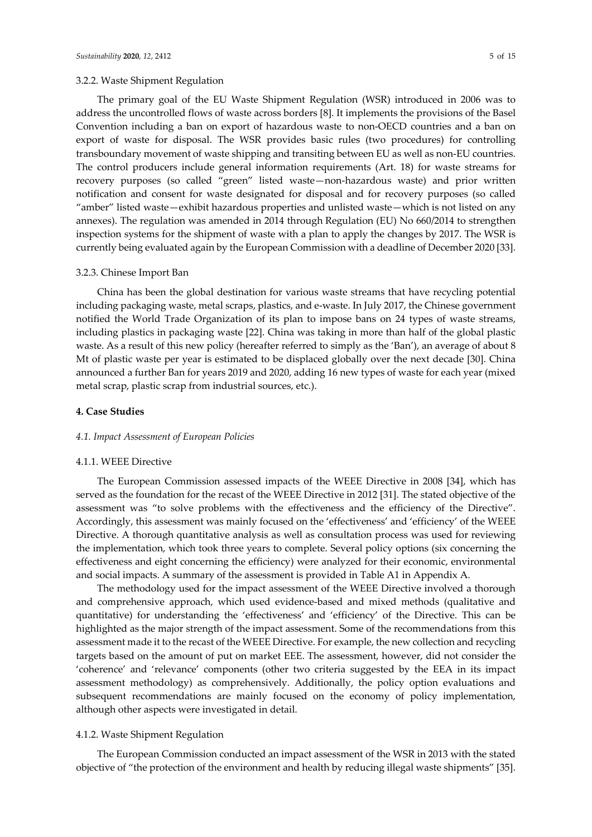#### 3.2.2. Waste Shipment Regulation

The primary goal of the EU Waste Shipment Regulation (WSR) introduced in 2006 was to address the uncontrolled flows of waste across borders [8]. It implements the provisions of the Basel Convention including a ban on export of hazardous waste to non-OECD countries and a ban on export of waste for disposal. The WSR provides basic rules (two procedures) for controlling transboundary movement of waste shipping and transiting between EU as well as non-EU countries. The control producers include general information requirements (Art. 18) for waste streams for recovery purposes (so called "green" listed waste—non-hazardous waste) and prior written notification and consent for waste designated for disposal and for recovery purposes (so called "amber" listed waste—exhibit hazardous properties and unlisted waste—which is not listed on any annexes). The regulation was amended in 2014 through Regulation (EU) No 660/2014 to strengthen inspection systems for the shipment of waste with a plan to apply the changes by 2017. The WSR is currently being evaluated again by the European Commission with a deadline of December 2020 [33].

#### 3.2.3. Chinese Import Ban

China has been the global destination for various waste streams that have recycling potential including packaging waste, metal scraps, plastics, and e-waste. In July 2017, the Chinese government notified the World Trade Organization of its plan to impose bans on 24 types of waste streams, including plastics in packaging waste [22]. China was taking in more than half of the global plastic waste. As a result of this new policy (hereafter referred to simply as the 'Ban'), an average of about 8 Mt of plastic waste per year is estimated to be displaced globally over the next decade [30]. China announced a further Ban for years 2019 and 2020, adding 16 new types of waste for each year (mixed metal scrap, plastic scrap from industrial sources, etc.).

### **4. Case Studies**

#### *4.1. Impact Assessment of European Policies*

#### 4.1.1. WEEE Directive

The European Commission assessed impacts of the WEEE Directive in 2008 [34], which has served as the foundation for the recast of the WEEE Directive in 2012 [31]. The stated objective of the assessment was "to solve problems with the effectiveness and the efficiency of the Directive". Accordingly, this assessment was mainly focused on the 'effectiveness' and 'efficiency' of the WEEE Directive. A thorough quantitative analysis as well as consultation process was used for reviewing the implementation, which took three years to complete. Several policy options (six concerning the effectiveness and eight concerning the efficiency) were analyzed for their economic, environmental and social impacts. A summary of the assessment is provided in Table A1 in Appendix A.

The methodology used for the impact assessment of the WEEE Directive involved a thorough and comprehensive approach, which used evidence-based and mixed methods (qualitative and quantitative) for understanding the 'effectiveness' and 'efficiency' of the Directive. This can be highlighted as the major strength of the impact assessment. Some of the recommendations from this assessment made it to the recast of the WEEE Directive. For example, the new collection and recycling targets based on the amount of put on market EEE. The assessment, however, did not consider the 'coherence' and 'relevance' components (other two criteria suggested by the EEA in its impact assessment methodology) as comprehensively. Additionally, the policy option evaluations and subsequent recommendations are mainly focused on the economy of policy implementation, although other aspects were investigated in detail.

#### 4.1.2. Waste Shipment Regulation

The European Commission conducted an impact assessment of the WSR in 2013 with the stated objective of "the protection of the environment and health by reducing illegal waste shipments" [35].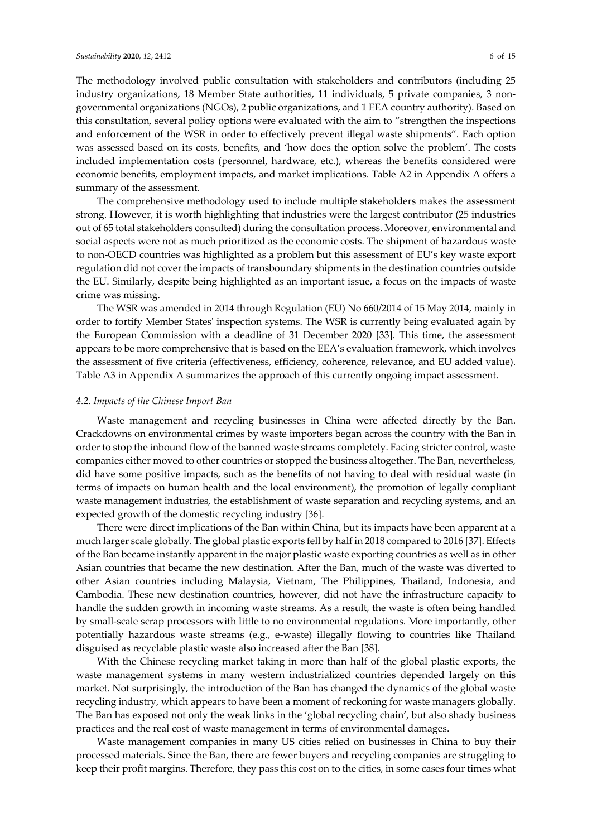The methodology involved public consultation with stakeholders and contributors (including 25 industry organizations, 18 Member State authorities, 11 individuals, 5 private companies, 3 nongovernmental organizations (NGOs), 2 public organizations, and 1 EEA country authority). Based on this consultation, several policy options were evaluated with the aim to "strengthen the inspections and enforcement of the WSR in order to effectively prevent illegal waste shipments". Each option was assessed based on its costs, benefits, and 'how does the option solve the problem'. The costs included implementation costs (personnel, hardware, etc.), whereas the benefits considered were economic benefits, employment impacts, and market implications. Table A2 in Appendix A offers a summary of the assessment.

The comprehensive methodology used to include multiple stakeholders makes the assessment strong. However, it is worth highlighting that industries were the largest contributor (25 industries out of 65 total stakeholders consulted) during the consultation process. Moreover, environmental and social aspects were not as much prioritized as the economic costs. The shipment of hazardous waste to non-OECD countries was highlighted as a problem but this assessment of EU's key waste export regulation did not cover the impacts of transboundary shipments in the destination countries outside the EU. Similarly, despite being highlighted as an important issue, a focus on the impacts of waste crime was missing.

The WSR was amended in 2014 through Regulation (EU) No 660/2014 of 15 May 2014, mainly in order to fortify Member States' inspection systems. The WSR is currently being evaluated again by the European Commission with a deadline of 31 December 2020 [33]. This time, the assessment appears to be more comprehensive that is based on the EEA's evaluation framework, which involves the assessment of five criteria (effectiveness, efficiency, coherence, relevance, and EU added value). Table A3 in Appendix A summarizes the approach of this currently ongoing impact assessment.

#### *4.2. Impacts of the Chinese Import Ban*

Waste management and recycling businesses in China were affected directly by the Ban. Crackdowns on environmental crimes by waste importers began across the country with the Ban in order to stop the inbound flow of the banned waste streams completely. Facing stricter control, waste companies either moved to other countries or stopped the business altogether. The Ban, nevertheless, did have some positive impacts, such as the benefits of not having to deal with residual waste (in terms of impacts on human health and the local environment), the promotion of legally compliant waste management industries, the establishment of waste separation and recycling systems, and an expected growth of the domestic recycling industry [36].

There were direct implications of the Ban within China, but its impacts have been apparent at a much larger scale globally. The global plastic exports fell by half in 2018 compared to 2016 [37]. Effects of the Ban became instantly apparent in the major plastic waste exporting countries as well as in other Asian countries that became the new destination. After the Ban, much of the waste was diverted to other Asian countries including Malaysia, Vietnam, The Philippines, Thailand, Indonesia, and Cambodia. These new destination countries, however, did not have the infrastructure capacity to handle the sudden growth in incoming waste streams. As a result, the waste is often being handled by small-scale scrap processors with little to no environmental regulations. More importantly, other potentially hazardous waste streams (e.g., e-waste) illegally flowing to countries like Thailand disguised as recyclable plastic waste also increased after the Ban [38].

With the Chinese recycling market taking in more than half of the global plastic exports, the waste management systems in many western industrialized countries depended largely on this market. Not surprisingly, the introduction of the Ban has changed the dynamics of the global waste recycling industry, which appears to have been a moment of reckoning for waste managers globally. The Ban has exposed not only the weak links in the 'global recycling chain', but also shady business practices and the real cost of waste management in terms of environmental damages.

Waste management companies in many US cities relied on businesses in China to buy their processed materials. Since the Ban, there are fewer buyers and recycling companies are struggling to keep their profit margins. Therefore, they pass this cost on to the cities, in some cases four times what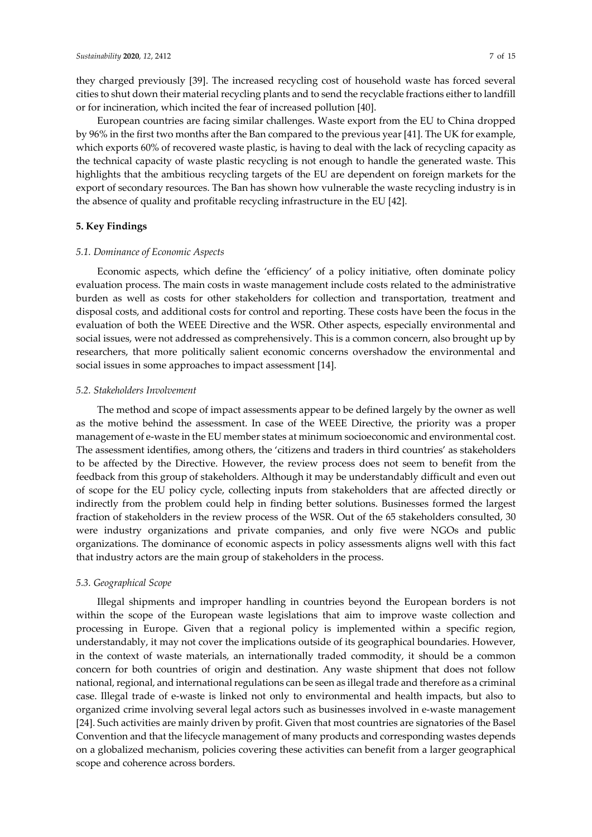they charged previously [39]. The increased recycling cost of household waste has forced several cities to shut down their material recycling plants and to send the recyclable fractions either to landfill or for incineration, which incited the fear of increased pollution [40].

European countries are facing similar challenges. Waste export from the EU to China dropped by 96% in the first two months after the Ban compared to the previous year [41]. The UK for example, which exports 60% of recovered waste plastic, is having to deal with the lack of recycling capacity as the technical capacity of waste plastic recycling is not enough to handle the generated waste. This highlights that the ambitious recycling targets of the EU are dependent on foreign markets for the export of secondary resources. The Ban has shown how vulnerable the waste recycling industry is in the absence of quality and profitable recycling infrastructure in the EU [42].

## **5. Key Findings**

### *5.1. Dominance of Economic Aspects*

Economic aspects, which define the 'efficiency' of a policy initiative, often dominate policy evaluation process. The main costs in waste management include costs related to the administrative burden as well as costs for other stakeholders for collection and transportation, treatment and disposal costs, and additional costs for control and reporting. These costs have been the focus in the evaluation of both the WEEE Directive and the WSR. Other aspects, especially environmental and social issues, were not addressed as comprehensively. This is a common concern, also brought up by researchers, that more politically salient economic concerns overshadow the environmental and social issues in some approaches to impact assessment [14].

## *5.2. Stakeholders Involvement*

The method and scope of impact assessments appear to be defined largely by the owner as well as the motive behind the assessment. In case of the WEEE Directive, the priority was a proper management of e-waste in the EU member states at minimum socioeconomic and environmental cost. The assessment identifies, among others, the 'citizens and traders in third countries' as stakeholders to be affected by the Directive. However, the review process does not seem to benefit from the feedback from this group of stakeholders. Although it may be understandably difficult and even out of scope for the EU policy cycle, collecting inputs from stakeholders that are affected directly or indirectly from the problem could help in finding better solutions. Businesses formed the largest fraction of stakeholders in the review process of the WSR. Out of the 65 stakeholders consulted, 30 were industry organizations and private companies, and only five were NGOs and public organizations. The dominance of economic aspects in policy assessments aligns well with this fact that industry actors are the main group of stakeholders in the process.

# *5.3. Geographical Scope*

Illegal shipments and improper handling in countries beyond the European borders is not within the scope of the European waste legislations that aim to improve waste collection and processing in Europe. Given that a regional policy is implemented within a specific region, understandably, it may not cover the implications outside of its geographical boundaries. However, in the context of waste materials, an internationally traded commodity, it should be a common concern for both countries of origin and destination. Any waste shipment that does not follow national, regional, and international regulations can be seen as illegal trade and therefore as a criminal case. Illegal trade of e-waste is linked not only to environmental and health impacts, but also to organized crime involving several legal actors such as businesses involved in e-waste management [24]. Such activities are mainly driven by profit. Given that most countries are signatories of the Basel Convention and that the lifecycle management of many products and corresponding wastes depends on a globalized mechanism, policies covering these activities can benefit from a larger geographical scope and coherence across borders.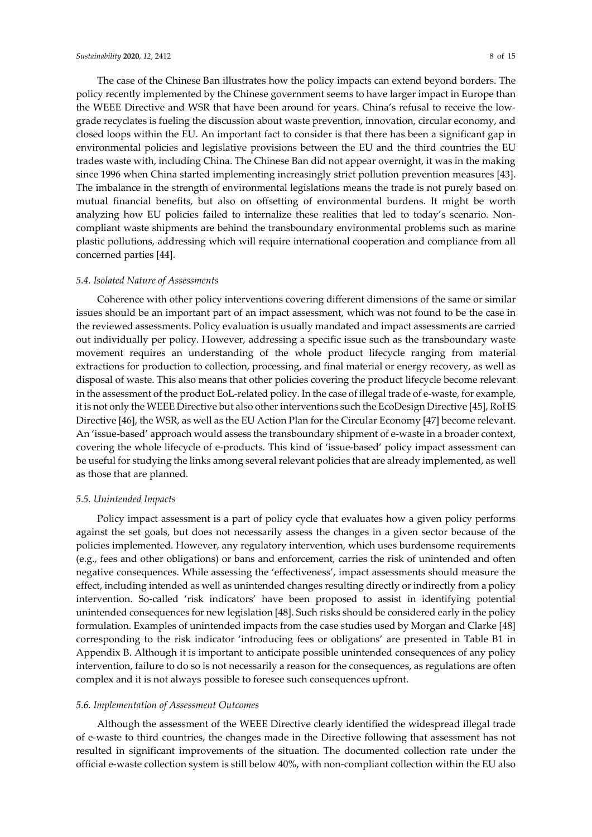The case of the Chinese Ban illustrates how the policy impacts can extend beyond borders. The policy recently implemented by the Chinese government seems to have larger impact in Europe than the WEEE Directive and WSR that have been around for years. China's refusal to receive the lowgrade recyclates is fueling the discussion about waste prevention, innovation, circular economy, and closed loops within the EU. An important fact to consider is that there has been a significant gap in environmental policies and legislative provisions between the EU and the third countries the EU trades waste with, including China. The Chinese Ban did not appear overnight, it was in the making since 1996 when China started implementing increasingly strict pollution prevention measures [43]. The imbalance in the strength of environmental legislations means the trade is not purely based on mutual financial benefits, but also on offsetting of environmental burdens. It might be worth analyzing how EU policies failed to internalize these realities that led to today's scenario. Noncompliant waste shipments are behind the transboundary environmental problems such as marine plastic pollutions, addressing which will require international cooperation and compliance from all concerned parties [44].

#### *5.4. Isolated Nature of Assessments*

Coherence with other policy interventions covering different dimensions of the same or similar issues should be an important part of an impact assessment, which was not found to be the case in the reviewed assessments. Policy evaluation is usually mandated and impact assessments are carried out individually per policy. However, addressing a specific issue such as the transboundary waste movement requires an understanding of the whole product lifecycle ranging from material extractions for production to collection, processing, and final material or energy recovery, as well as disposal of waste. This also means that other policies covering the product lifecycle become relevant in the assessment of the product EoL-related policy. In the case of illegal trade of e-waste, for example, it is not only the WEEE Directive but also other interventions such the EcoDesign Directive [45], RoHS Directive [46], the WSR, as well as the EU Action Plan for the Circular Economy [47] become relevant. An 'issue-based' approach would assess the transboundary shipment of e-waste in a broader context, covering the whole lifecycle of e-products. This kind of 'issue-based' policy impact assessment can be useful for studying the links among several relevant policies that are already implemented, as well as those that are planned.

#### *5.5. Unintended Impacts*

Policy impact assessment is a part of policy cycle that evaluates how a given policy performs against the set goals, but does not necessarily assess the changes in a given sector because of the policies implemented. However, any regulatory intervention, which uses burdensome requirements (e.g., fees and other obligations) or bans and enforcement, carries the risk of unintended and often negative consequences. While assessing the 'effectiveness', impact assessments should measure the effect, including intended as well as unintended changes resulting directly or indirectly from a policy intervention. So-called 'risk indicators' have been proposed to assist in identifying potential unintended consequences for new legislation [48]. Such risks should be considered early in the policy formulation. Examples of unintended impacts from the case studies used by Morgan and Clarke [48] corresponding to the risk indicator 'introducing fees or obligations' are presented in Table B1 in Appendix B. Although it is important to anticipate possible unintended consequences of any policy intervention, failure to do so is not necessarily a reason for the consequences, as regulations are often complex and it is not always possible to foresee such consequences upfront.

#### *5.6. Implementation of Assessment Outcomes*

Although the assessment of the WEEE Directive clearly identified the widespread illegal trade of e-waste to third countries, the changes made in the Directive following that assessment has not resulted in significant improvements of the situation. The documented collection rate under the official e-waste collection system is still below 40%, with non-compliant collection within the EU also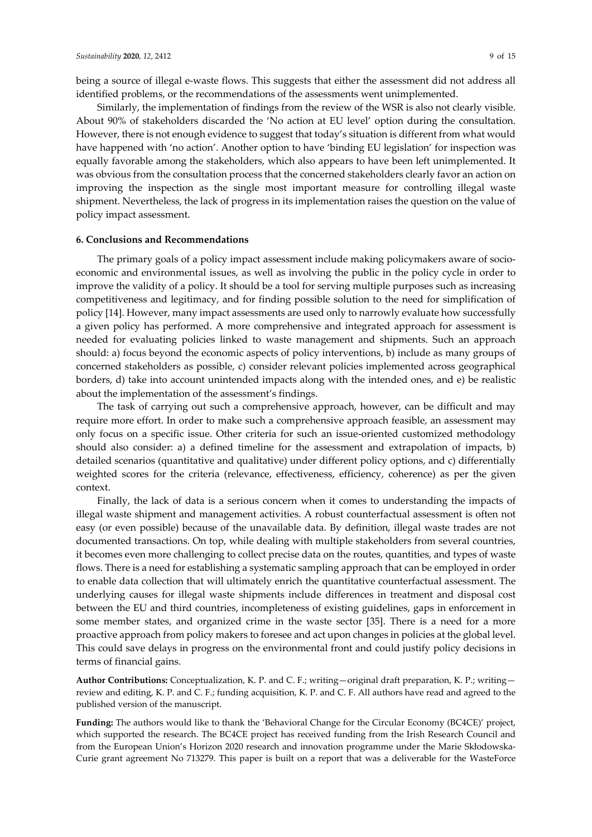being a source of illegal e-waste flows. This suggests that either the assessment did not address all identified problems, or the recommendations of the assessments went unimplemented.

Similarly, the implementation of findings from the review of the WSR is also not clearly visible. About 90% of stakeholders discarded the 'No action at EU level' option during the consultation. However, there is not enough evidence to suggest that today's situation is different from what would have happened with 'no action'. Another option to have 'binding EU legislation' for inspection was equally favorable among the stakeholders, which also appears to have been left unimplemented. It was obvious from the consultation process that the concerned stakeholders clearly favor an action on improving the inspection as the single most important measure for controlling illegal waste shipment. Nevertheless, the lack of progress in its implementation raises the question on the value of policy impact assessment.

#### **6. Conclusions and Recommendations**

The primary goals of a policy impact assessment include making policymakers aware of socioeconomic and environmental issues, as well as involving the public in the policy cycle in order to improve the validity of a policy. It should be a tool for serving multiple purposes such as increasing competitiveness and legitimacy, and for finding possible solution to the need for simplification of policy [14]. However, many impact assessments are used only to narrowly evaluate how successfully a given policy has performed. A more comprehensive and integrated approach for assessment is needed for evaluating policies linked to waste management and shipments. Such an approach should: a) focus beyond the economic aspects of policy interventions, b) include as many groups of concerned stakeholders as possible, c) consider relevant policies implemented across geographical borders, d) take into account unintended impacts along with the intended ones, and e) be realistic about the implementation of the assessment's findings.

The task of carrying out such a comprehensive approach, however, can be difficult and may require more effort. In order to make such a comprehensive approach feasible, an assessment may only focus on a specific issue. Other criteria for such an issue-oriented customized methodology should also consider: a) a defined timeline for the assessment and extrapolation of impacts, b) detailed scenarios (quantitative and qualitative) under different policy options, and c) differentially weighted scores for the criteria (relevance, effectiveness, efficiency, coherence) as per the given context.

Finally, the lack of data is a serious concern when it comes to understanding the impacts of illegal waste shipment and management activities. A robust counterfactual assessment is often not easy (or even possible) because of the unavailable data. By definition, illegal waste trades are not documented transactions. On top, while dealing with multiple stakeholders from several countries, it becomes even more challenging to collect precise data on the routes, quantities, and types of waste flows. There is a need for establishing a systematic sampling approach that can be employed in order to enable data collection that will ultimately enrich the quantitative counterfactual assessment. The underlying causes for illegal waste shipments include differences in treatment and disposal cost between the EU and third countries, incompleteness of existing guidelines, gaps in enforcement in some member states, and organized crime in the waste sector [35]. There is a need for a more proactive approach from policy makers to foresee and act upon changes in policies at the global level. This could save delays in progress on the environmental front and could justify policy decisions in terms of financial gains.

**Author Contributions:** Conceptualization, K. P. and C. F.; writing—original draft preparation, K. P.; writing review and editing, K. P. and C. F.; funding acquisition, K. P. and C. F. All authors have read and agreed to the published version of the manuscript.

**Funding:** The authors would like to thank the 'Behavioral Change for the Circular Economy (BC4CE)' project, which supported the research. The BC4CE project has received funding from the Irish Research Council and from the European Union's Horizon 2020 research and innovation programme under the Marie Skłodowska-Curie grant agreement No 713279. This paper is built on a report that was a deliverable for the WasteForce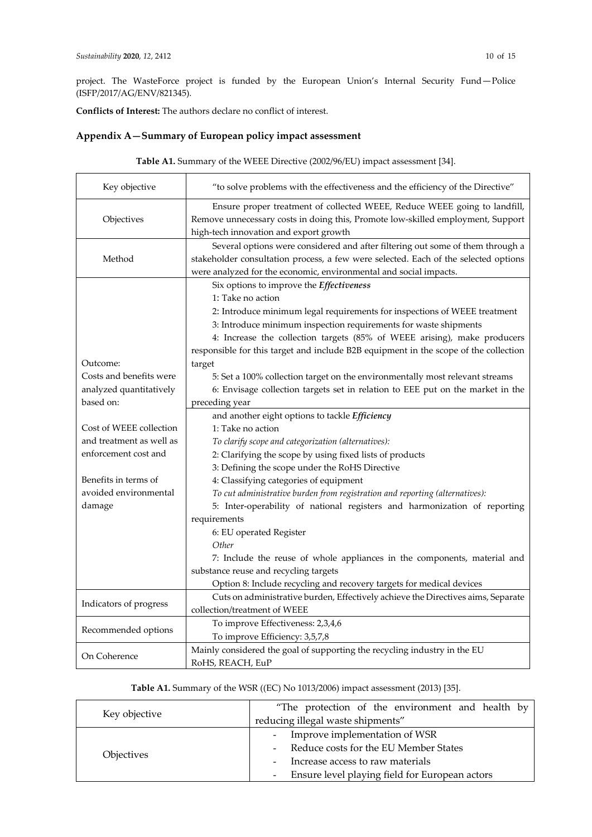project. The WasteForce project is funded by the European Union's Internal Security Fund—Police (ISFP/2017/AG/ENV/821345).

**Conflicts of Interest:** The authors declare no conflict of interest.

# **Appendix A—Summary of European policy impact assessment**

| Key objective                                                               | "to solve problems with the effectiveness and the efficiency of the Directive"                                                                                                                                                             |
|-----------------------------------------------------------------------------|--------------------------------------------------------------------------------------------------------------------------------------------------------------------------------------------------------------------------------------------|
| Objectives                                                                  | Ensure proper treatment of collected WEEE, Reduce WEEE going to landfill,<br>Remove unnecessary costs in doing this, Promote low-skilled employment, Support<br>high-tech innovation and export growth                                     |
| Method                                                                      | Several options were considered and after filtering out some of them through a<br>stakeholder consultation process, a few were selected. Each of the selected options<br>were analyzed for the economic, environmental and social impacts. |
|                                                                             | Six options to improve the Effectiveness<br>1: Take no action<br>2: Introduce minimum legal requirements for inspections of WEEE treatment<br>3: Introduce minimum inspection requirements for waste shipments                             |
|                                                                             | 4: Increase the collection targets (85% of WEEE arising), make producers<br>responsible for this target and include B2B equipment in the scope of the collection                                                                           |
| Outcome:<br>Costs and benefits were<br>analyzed quantitatively<br>based on: | target<br>5: Set a 100% collection target on the environmentally most relevant streams<br>6: Envisage collection targets set in relation to EEE put on the market in the<br>preceding year                                                 |
| Cost of WEEE collection                                                     | and another eight options to tackle Efficiency<br>1: Take no action                                                                                                                                                                        |
| and treatment as well as<br>enforcement cost and                            | To clarify scope and categorization (alternatives):<br>2: Clarifying the scope by using fixed lists of products<br>3: Defining the scope under the RoHS Directive                                                                          |
| Benefits in terms of<br>avoided environmental<br>damage                     | 4: Classifying categories of equipment<br>To cut administrative burden from registration and reporting (alternatives):<br>5: Inter-operability of national registers and harmonization of reporting                                        |
|                                                                             | requirements<br>6: EU operated Register                                                                                                                                                                                                    |
|                                                                             | Other<br>7: Include the reuse of whole appliances in the components, material and<br>substance reuse and recycling targets                                                                                                                 |
|                                                                             | Option 8: Include recycling and recovery targets for medical devices                                                                                                                                                                       |
| Indicators of progress                                                      | Cuts on administrative burden, Effectively achieve the Directives aims, Separate<br>collection/treatment of WEEE                                                                                                                           |
| Recommended options                                                         | To improve Effectiveness: 2,3,4,6<br>To improve Efficiency: 3,5,7,8                                                                                                                                                                        |
| On Coherence                                                                | Mainly considered the goal of supporting the recycling industry in the EU<br>RoHS, REACH, EuP                                                                                                                                              |

## **Table A1.** Summary of the WSR ((EC) No 1013/2006) impact assessment (2013) [35].

|                   | "The protection of the environment and health by                               |  |  |  |
|-------------------|--------------------------------------------------------------------------------|--|--|--|
| Key objective     | reducing illegal waste shipments"                                              |  |  |  |
|                   | Improve implementation of WSR<br>$\overline{\phantom{a}}$                      |  |  |  |
|                   | Reduce costs for the EU Member States                                          |  |  |  |
| <b>Objectives</b> | Increase access to raw materials<br>$\overline{a}$                             |  |  |  |
|                   | Ensure level playing field for European actors<br>$\qquad \qquad \blacksquare$ |  |  |  |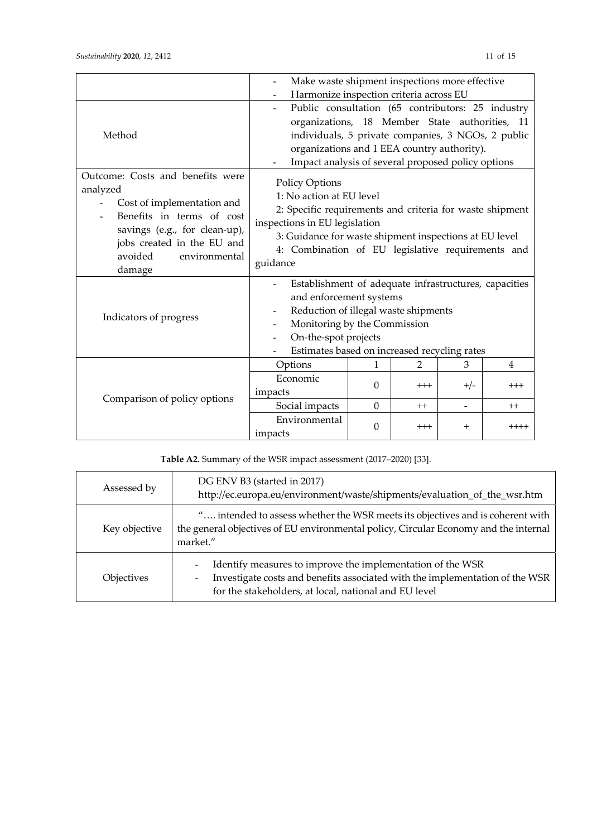|                                                                                                                                                                                                              | Make waste shipment inspections more effective                                                                                                                                                                                                                     |          |                |           |                |
|--------------------------------------------------------------------------------------------------------------------------------------------------------------------------------------------------------------|--------------------------------------------------------------------------------------------------------------------------------------------------------------------------------------------------------------------------------------------------------------------|----------|----------------|-----------|----------------|
|                                                                                                                                                                                                              | Harmonize inspection criteria across EU                                                                                                                                                                                                                            |          |                |           |                |
| Method                                                                                                                                                                                                       | Public consultation (65 contributors: 25 industry<br>organizations, 18 Member State authorities, 11<br>individuals, 5 private companies, 3 NGOs, 2 public<br>organizations and 1 EEA country authority).<br>Impact analysis of several proposed policy options     |          |                |           |                |
| Outcome: Costs and benefits were<br>analyzed<br>Cost of implementation and<br>Benefits in terms of cost<br>savings (e.g., for clean-up),<br>jobs created in the EU and<br>avoided<br>environmental<br>damage | Policy Options<br>1: No action at EU level<br>2: Specific requirements and criteria for waste shipment<br>inspections in EU legislation<br>3: Guidance for waste shipment inspections at EU level<br>4: Combination of EU legislative requirements and<br>guidance |          |                |           |                |
| Indicators of progress                                                                                                                                                                                       | Establishment of adequate infrastructures, capacities<br>and enforcement systems<br>Reduction of illegal waste shipments<br>Monitoring by the Commission<br>On-the-spot projects<br>Estimates based on increased recycling rates                                   |          |                |           |                |
|                                                                                                                                                                                                              | Options                                                                                                                                                                                                                                                            | 1        | $\overline{2}$ | 3         | $\overline{4}$ |
|                                                                                                                                                                                                              | Economic<br>impacts                                                                                                                                                                                                                                                | $\Omega$ | $^{+++}$       | $+/-$     | $^{+++}$       |
| Comparison of policy options                                                                                                                                                                                 | Social impacts                                                                                                                                                                                                                                                     | $\Omega$ | $^{++}$        |           | $^{++}$        |
|                                                                                                                                                                                                              | Environmental<br>impacts                                                                                                                                                                                                                                           | $\Omega$ | $^{+++}$       | $\ddot{}$ | $++++$         |

# **Table A2.** Summary of the WSR impact assessment (2017–2020) [33].

| Assessed by              | DG ENV B3 (started in 2017)<br>http://ec.europa.eu/environment/waste/shipments/evaluation_of_the_wsr.htm                                                                                            |
|--------------------------|-----------------------------------------------------------------------------------------------------------------------------------------------------------------------------------------------------|
| Key objective            | " intended to assess whether the WSR meets its objectives and is coherent with<br>the general objectives of EU environmental policy, Circular Economy and the internal<br>market."                  |
| <i><b>Objectives</b></i> | Identify measures to improve the implementation of the WSR<br>Investigate costs and benefits associated with the implementation of the WSR<br>for the stakeholders, at local, national and EU level |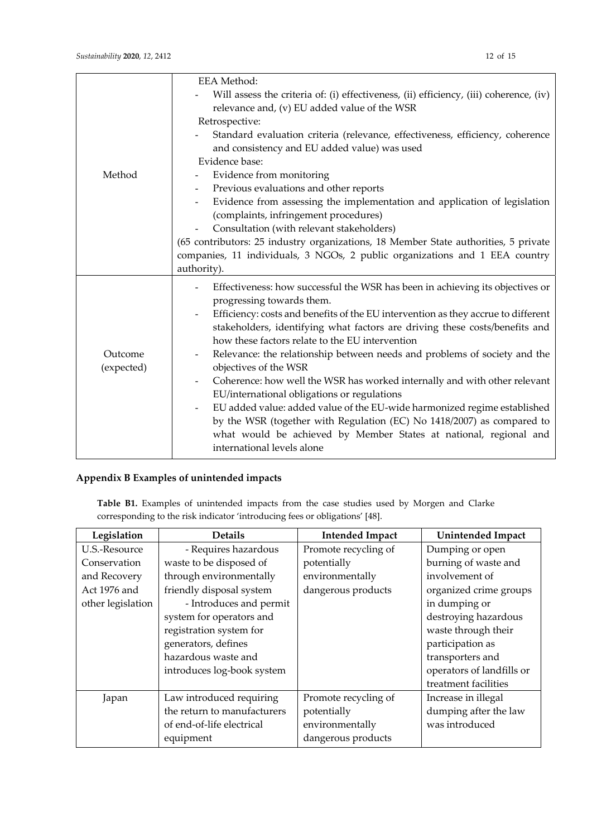| Method                | <b>EEA</b> Method:<br>Will assess the criteria of: (i) effectiveness, (ii) efficiency, (iii) coherence, (iv)<br>relevance and, (v) EU added value of the WSR<br>Retrospective:<br>Standard evaluation criteria (relevance, effectiveness, efficiency, coherence<br>and consistency and EU added value) was used<br>Evidence base:<br>Evidence from monitoring<br>Previous evaluations and other reports<br>$\blacksquare$<br>Evidence from assessing the implementation and application of legislation<br>(complaints, infringement procedures)<br>Consultation (with relevant stakeholders)<br>(65 contributors: 25 industry organizations, 18 Member State authorities, 5 private<br>companies, 11 individuals, 3 NGOs, 2 public organizations and 1 EEA country                                                                                                                        |
|-----------------------|-------------------------------------------------------------------------------------------------------------------------------------------------------------------------------------------------------------------------------------------------------------------------------------------------------------------------------------------------------------------------------------------------------------------------------------------------------------------------------------------------------------------------------------------------------------------------------------------------------------------------------------------------------------------------------------------------------------------------------------------------------------------------------------------------------------------------------------------------------------------------------------------|
| Outcome<br>(expected) | authority).<br>Effectiveness: how successful the WSR has been in achieving its objectives or<br>progressing towards them.<br>Efficiency: costs and benefits of the EU intervention as they accrue to different<br>stakeholders, identifying what factors are driving these costs/benefits and<br>how these factors relate to the EU intervention<br>Relevance: the relationship between needs and problems of society and the<br>$\sim$<br>objectives of the WSR<br>Coherence: how well the WSR has worked internally and with other relevant<br>$\blacksquare$<br>EU/international obligations or regulations<br>EU added value: added value of the EU-wide harmonized regime established<br>$\blacksquare$<br>by the WSR (together with Regulation (EC) No 1418/2007) as compared to<br>what would be achieved by Member States at national, regional and<br>international levels alone |

# **Appendix B Examples of unintended impacts**

**Table B1.** Examples of unintended impacts from the case studies used by Morgen and Clarke corresponding to the risk indicator 'introducing fees or obligations' [48].

| Legislation       | <b>Details</b>              | <b>Intended Impact</b> | <b>Unintended Impact</b>  |
|-------------------|-----------------------------|------------------------|---------------------------|
| U.S.-Resource     | - Requires hazardous        | Promote recycling of   | Dumping or open           |
| Conservation      | waste to be disposed of     | potentially            | burning of waste and      |
| and Recovery      | through environmentally     | environmentally        | involvement of            |
| Act 1976 and      | friendly disposal system    | dangerous products     | organized crime groups    |
| other legislation | - Introduces and permit     |                        | in dumping or             |
|                   | system for operators and    |                        | destroying hazardous      |
|                   | registration system for     |                        | waste through their       |
|                   | generators, defines         |                        | participation as          |
|                   | hazardous waste and         |                        | transporters and          |
|                   | introduces log-book system  |                        | operators of landfills or |
|                   |                             |                        | treatment facilities      |
| Japan             | Law introduced requiring    | Promote recycling of   | Increase in illegal       |
|                   | the return to manufacturers | potentially            | dumping after the law     |
|                   | of end-of-life electrical   | environmentally        | was introduced            |
|                   | equipment                   | dangerous products     |                           |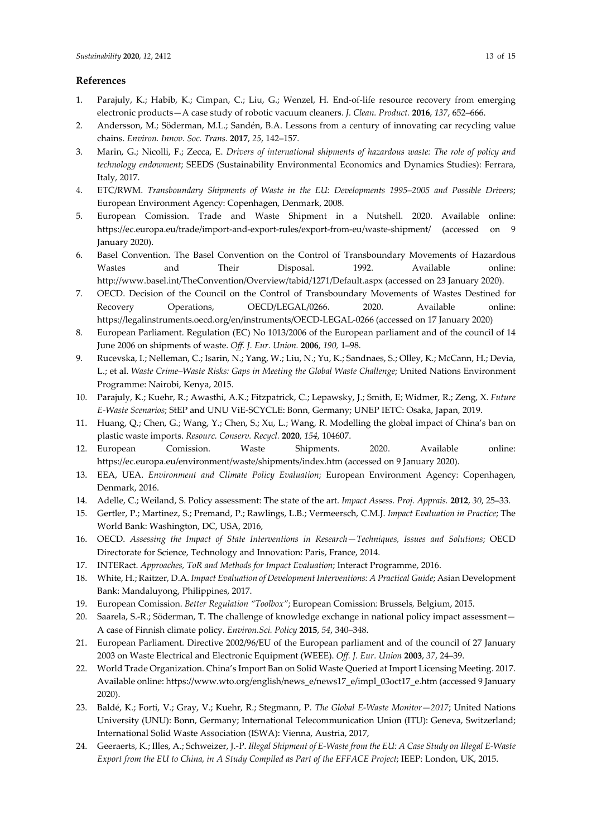### **References**

- 1. Parajuly, K.; Habib, K.; Cimpan, C.; Liu, G.; Wenzel, H. End-of-life resource recovery from emerging electronic products—A case study of robotic vacuum cleaners. *J. Clean. Product.* **2016**, *137*, 652–666.
- 2. Andersson, M.; Söderman, M.L.; Sandén, B.A. Lessons from a century of innovating car recycling value chains. *Environ. Innov. Soc. Trans.* **2017**, *25*, 142–157.
- 3. Marin, G.; Nicolli, F.; Zecca, E. *Drivers of international shipments of hazardous waste: The role of policy and technology endowment*; SEEDS (Sustainability Environmental Economics and Dynamics Studies): Ferrara, Italy, 2017.
- 4. ETC/RWM. *Transboundary Shipments of Waste in the EU: Developments 1995–2005 and Possible Drivers*; European Environment Agency: Copenhagen, Denmark, 2008.
- 5. European Comission. Trade and Waste Shipment in a Nutshell. 2020. Available online: https://ec.europa.eu/trade/import-and-export-rules/export-from-eu/waste-shipment/ (accessed on 9 January 2020).
- 6. Basel Convention. The Basel Convention on the Control of Transboundary Movements of Hazardous Wastes and Their Disposal. 1992. Available online: http://www.basel.int/TheConvention/Overview/tabid/1271/Default.aspx (accessed on 23 January 2020).
- 7. OECD. Decision of the Council on the Control of Transboundary Movements of Wastes Destined for Recovery Operations, OECD/LEGAL/0266. 2020. Available online: https://legalinstruments.oecd.org/en/instruments/OECD-LEGAL-0266 (accessed on 17 January 2020)
- 8. European Parliament. Regulation (EC) No 1013/2006 of the European parliament and of the council of 14 June 2006 on shipments of waste. *Off. J. Eur. Union.* **2006**, *190,* 1–98.
- 9. Rucevska, I.; Nelleman, C.; Isarin, N.; Yang, W.; Liu, N.; Yu, K.; Sandnaes, S.; Olley, K.; McCann, H.; Devia, L.; et al. *Waste Crime–Waste Risks: Gaps in Meeting the Global Waste Challenge*; United Nations Environment Programme: Nairobi, Kenya, 2015.
- 10. Parajuly, K.; Kuehr, R.; Awasthi, A.K.; Fitzpatrick, C.; Lepawsky, J.; Smith, E; Widmer, R.; Zeng, X. *Future E-Waste Scenarios*; StEP and UNU ViE-SCYCLE: Bonn, Germany; UNEP IETC: Osaka, Japan, 2019.
- 11. Huang, Q.; Chen, G.; Wang, Y.; Chen, S.; Xu, L.; Wang, R. Modelling the global impact of China's ban on plastic waste imports. *Resourc. Conserv. Recycl.* **2020**, *154*, 104607.
- 12. European Comission. Waste Shipments. 2020. Available online: https://ec.europa.eu/environment/waste/shipments/index.htm (accessed on 9 January 2020).
- 13. EEA, UEA. *Environment and Climate Policy Evaluation*; European Environment Agency: Copenhagen, Denmark, 2016.
- 14. Adelle, C.; Weiland, S. Policy assessment: The state of the art. *Impact Assess. Proj. Apprais.* **2012**, *30*, 25–33.
- 15. Gertler, P.; Martinez, S.; Premand, P.; Rawlings, L.B.; Vermeersch, C.M.J. *Impact Evaluation in Practice*; The World Bank: Washington, DC, USA, 2016,
- 16. OECD. *Assessing the Impact of State Interventions in Research—Techniques, Issues and Solutions*; OECD Directorate for Science, Technology and Innovation: Paris, France, 2014.
- 17. INTERact. *Approaches, ToR and Methods for Impact Evaluation*; Interact Programme, 2016.
- 18. White, H.; Raitzer, D.A. *Impact Evaluation of Development Interventions: A Practical Guide*; Asian Development Bank: Mandaluyong, Philippines, 2017.
- 19. European Comission. *Better Regulation "Toolbox"*; European Comission*:* Brussels*,* Belgium, 2015.
- 20. Saarela, S.-R.; Söderman, T. The challenge of knowledge exchange in national policy impact assessment*—* A case of Finnish climate policy. *Environ.Sci. Policy* **2015**, *54*, 340–348.
- 21. European Parliament. Directive 2002/96/EU of the European parliament and of the council of 27 January 2003 on Waste Electrical and Electronic Equipment (WEEE). *Off. J. Eur. Union* **2003**, *37*, 24–39.
- 22. World Trade Organization. China's Import Ban on Solid Waste Queried at Import Licensing Meeting. 2017. Available online: https://www.wto.org/english/news\_e/news17\_e/impl\_03oct17\_e.htm (accessed 9 January 2020).
- 23. Baldé, K.; Forti, V.; Gray, V.; Kuehr, R.; Stegmann, P. *The Global E-Waste Monitor—2017*; United Nations University (UNU): Bonn, Germany; International Telecommunication Union (ITU): Geneva, Switzerland; International Solid Waste Association (ISWA): Vienna, Austria, 2017,
- 24. Geeraerts, K.; Illes, A.; Schweizer, J.-P. *Illegal Shipment of E-Waste from the EU: A Case Study on Illegal E-Waste Export from the EU to China, in A Study Compiled as Part of the EFFACE Project*; IEEP: London, UK, 2015.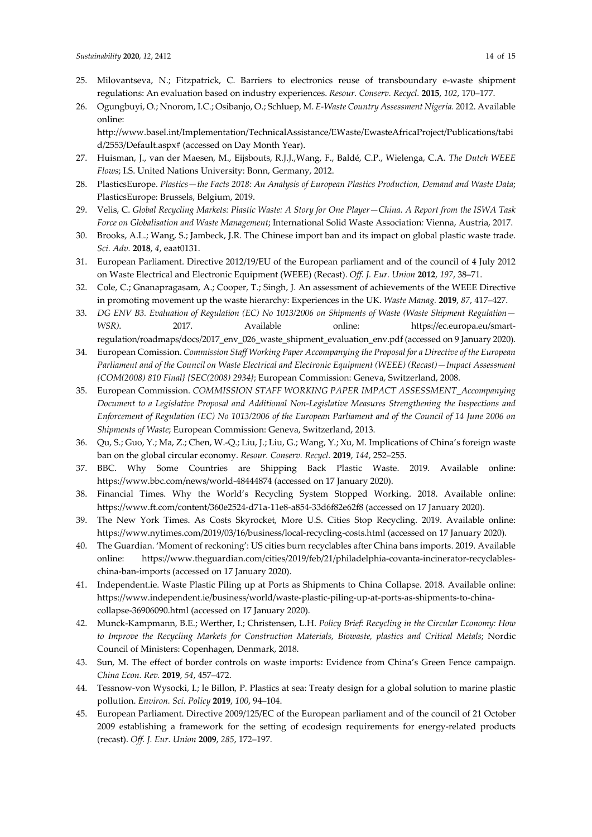- 25. Milovantseva, N.; Fitzpatrick, C. Barriers to electronics reuse of transboundary e-waste shipment regulations: An evaluation based on industry experiences. *Resour. Conserv. Recycl.* **2015**, *102*, 170–177.
- 26. Ogungbuyi, O.; Nnorom, I.C.; Osibanjo, O.; Schluep, M. *E-Waste Country Assessment Nigeria.* 2012. Available online:

http://www.basel.int/Implementation/TechnicalAssistance/EWaste/EwasteAfricaProject/Publications/tabi d/2553/Default.aspx# (accessed on Day Month Year).

- 27. Huisman, J., van der Maesen, M., Eijsbouts, R.J.J.,Wang, F., Baldé, C.P., Wielenga, C.A. *The Dutch WEEE Flows*; I.S. United Nations University: Bonn, Germany, 2012.
- 28. PlasticsEurope. *Plastics—the Facts 2018: An Analysis of European Plastics Production, Demand and Waste Data*; PlasticsEurope: Brussels, Belgium, 2019.
- 29. Velis, C. *Global Recycling Markets: Plastic Waste: A Story for One Player—China. A Report from the ISWA Task Force on Globalisation and Waste Management*; International Solid Waste Association*:* Vienna, Austria, 2017.
- 30. Brooks, A.L.; Wang, S.; Jambeck, J.R. The Chinese import ban and its impact on global plastic waste trade. *Sci. Adv.* **2018**, *4*, eaat0131.
- 31. European Parliament. Directive 2012/19/EU of the European parliament and of the council of 4 July 2012 on Waste Electrical and Electronic Equipment (WEEE) (Recast). *Off. J. Eur. Union* **2012**, *197*, 38–71.
- 32. Cole, C.; Gnanapragasam, A.; Cooper, T.; Singh, J. An assessment of achievements of the WEEE Directive in promoting movement up the waste hierarchy: Experiences in the UK. *Waste Manag.* **2019**, *87*, 417–427.
- 33. *DG ENV B3. Evaluation of Regulation (EC) No 1013/2006 on Shipments of Waste (Waste Shipment Regulation— WSR)*. 2017. Available online: https://ec.europa.eu/smartregulation/roadmaps/docs/2017\_env\_026\_waste\_shipment\_evaluation\_env.pdf (accessed on 9 January 2020).
- 34. European Comission. *Commission Staff Working Paper Accompanying the Proposal for a Directive of the European Parliament and of the Council on Waste Electrical and Electronic Equipment (WEEE) (Recast)—Impact Assessment {COM(2008) 810 Final} {SEC(2008) 2934}*; European Commission: Geneva, Switzerland, 2008.
- 35. European Commission. *COMMISSION STAFF WORKING PAPER IMPACT ASSESSMENT\_Accompanying Document to a Legislative Proposal and Additional Non-Legislative Measures Strengthening the Inspections and Enforcement of Regulation (EC) No 1013/2006 of the European Parliament and of the Council of 14 June 2006 on Shipments of Waste*; European Commission: Geneva, Switzerland, 2013.
- 36. Qu, S.; Guo, Y.; Ma, Z.; Chen, W.-Q.; Liu, J.; Liu, G.; Wang, Y.; Xu, M. Implications of China's foreign waste ban on the global circular economy. *Resour. Conserv. Recycl.* **2019**, *144*, 252–255.
- 37. BBC. Why Some Countries are Shipping Back Plastic Waste. 2019. Available online: https://www.bbc.com/news/world-48444874 (accessed on 17 January 2020).
- 38. Financial Times. Why the World's Recycling System Stopped Working. 2018. Available online: https://www.ft.com/content/360e2524-d71a-11e8-a854-33d6f82e62f8 (accessed on 17 January 2020).
- 39. The New York Times. As Costs Skyrocket, More U.S. Cities Stop Recycling. 2019. Available online: https://www.nytimes.com/2019/03/16/business/local-recycling-costs.html (accessed on 17 January 2020).
- 40. The Guardian. 'Moment of reckoning': US cities burn recyclables after China bans imports. 2019. Available online: https://www.theguardian.com/cities/2019/feb/21/philadelphia-covanta-incinerator-recyclableschina-ban-imports (accessed on 17 January 2020).
- 41. Independent.ie. Waste Plastic Piling up at Ports as Shipments to China Collapse. 2018. Available online: https://www.independent.ie/business/world/waste-plastic-piling-up-at-ports-as-shipments-to-chinacollapse-36906090.html (accessed on 17 January 2020).
- 42. Munck-Kampmann, B.E.; Werther, I.; Christensen, L.H. *Policy Brief: Recycling in the Circular Economy: How to Improve the Recycling Markets for Construction Materials, Biowaste, plastics and Critical Metals*; Nordic Council of Ministers: Copenhagen, Denmark, 2018.
- 43. Sun, M. The effect of border controls on waste imports: Evidence from China's Green Fence campaign. *China Econ. Rev.* **2019**, *54*, 457–472.
- 44. Tessnow-von Wysocki, I.; le Billon, P. Plastics at sea: Treaty design for a global solution to marine plastic pollution. *Environ. Sci. Policy* **2019**, *100*, 94–104.
- 45. European Parliament. Directive 2009/125/EC of the European parliament and of the council of 21 October 2009 establishing a framework for the setting of ecodesign requirements for energy-related products (recast). *Off. J. Eur. Union* **2009**, *285*, 172–197.